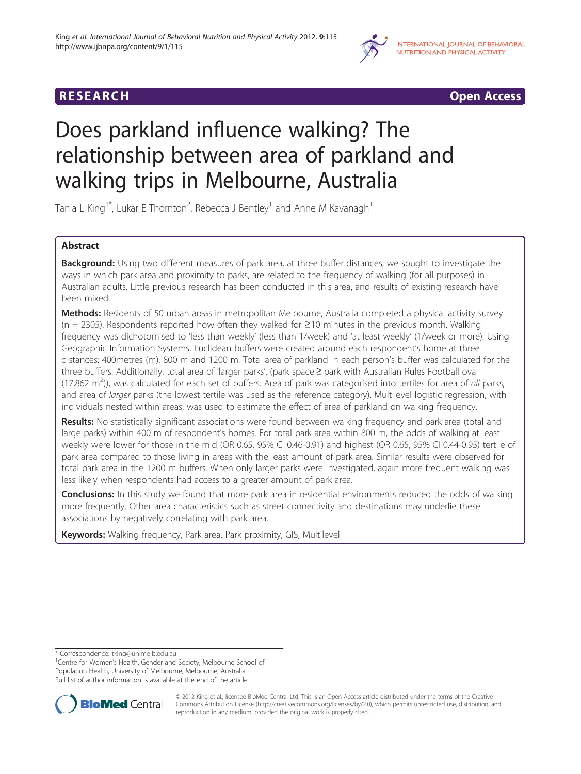

**RESEARCH CHINESEARCH CHINESEARCH** 

# Does parkland influence walking? The relationship between area of parkland and walking trips in Melbourne, Australia

Tania L King<sup>1\*</sup>, Lukar E Thornton<sup>2</sup>, Rebecca J Bentley<sup>1</sup> and Anne M Kavanagh<sup>1</sup>

# Abstract

Background: Using two different measures of park area, at three buffer distances, we sought to investigate the ways in which park area and proximity to parks, are related to the frequency of walking (for all purposes) in Australian adults. Little previous research has been conducted in this area, and results of existing research have been mixed.

Methods: Residents of 50 urban areas in metropolitan Melbourne, Australia completed a physical activity survey (n = 2305). Respondents reported how often they walked for ≥10 minutes in the previous month. Walking frequency was dichotomised to 'less than weekly' (less than 1/week) and 'at least weekly' (1/week or more). Using Geographic Information Systems, Euclidean buffers were created around each respondent's home at three distances: 400metres (m), 800 m and 1200 m. Total area of parkland in each person's buffer was calculated for the three buffers. Additionally, total area of 'larger parks', (park space ≥ park with Australian Rules Football oval (17,862 m<sup>2</sup>)), was calculated for each set of buffers. Area of park was categorised into tertiles for area of all parks, and area of larger parks (the lowest tertile was used as the reference category). Multilevel logistic regression, with individuals nested within areas, was used to estimate the effect of area of parkland on walking frequency.

Results: No statistically significant associations were found between walking frequency and park area (total and large parks) within 400 m of respondent's homes. For total park area within 800 m, the odds of walking at least weekly were lower for those in the mid (OR 0.65, 95% CI 0.46-0.91) and highest (OR 0.65, 95% CI 0.44-0.95) tertile of park area compared to those living in areas with the least amount of park area. Similar results were observed for total park area in the 1200 m buffers. When only larger parks were investigated, again more frequent walking was less likely when respondents had access to a greater amount of park area.

**Conclusions:** In this study we found that more park area in residential environments reduced the odds of walking more frequently. Other area characteristics such as street connectivity and destinations may underlie these associations by negatively correlating with park area.

Keywords: Walking frequency, Park area, Park proximity, GIS, Multilevel

\* Correspondence: [tking@unimelb.edu.au](mailto:tking@unimelb.edu.au) <sup>1</sup>

<sup>1</sup> Centre for Women's Health, Gender and Society, Melbourne School of Population Health, University of Melbourne, Melbourne, Australia Full list of author information is available at the end of the article



© 2012 King et al.; licensee BioMed Central Ltd. This is an Open Access article distributed under the terms of the Creative Commons Attribution License [\(http://creativecommons.org/licenses/by/2.0\)](http://creativecommons.org/licenses/by/2.0), which permits unrestricted use, distribution, and reproduction in any medium, provided the original work is properly cited.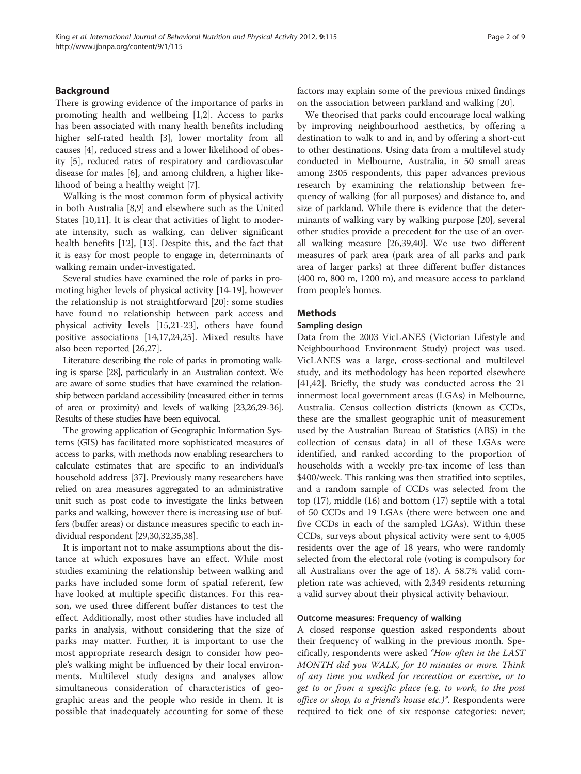# Background

There is growing evidence of the importance of parks in promoting health and wellbeing [[1,2\]](#page-7-0). Access to parks has been associated with many health benefits including higher self-rated health [\[3\]](#page-7-0), lower mortality from all causes [[4\]](#page-7-0), reduced stress and a lower likelihood of obesity [[5\]](#page-7-0), reduced rates of respiratory and cardiovascular disease for males [\[6](#page-7-0)], and among children, a higher likelihood of being a healthy weight [[7\]](#page-7-0).

Walking is the most common form of physical activity in both Australia [\[8](#page-7-0)[,9](#page-8-0)] and elsewhere such as the United States [[10,11\]](#page-8-0). It is clear that activities of light to moderate intensity, such as walking, can deliver significant health benefits [\[12](#page-8-0)], [\[13](#page-8-0)]. Despite this, and the fact that it is easy for most people to engage in, determinants of walking remain under-investigated.

Several studies have examined the role of parks in promoting higher levels of physical activity [[14-19\]](#page-8-0), however the relationship is not straightforward [\[20](#page-8-0)]: some studies have found no relationship between park access and physical activity levels [\[15,21-23](#page-8-0)], others have found positive associations [\[14,17,24,25\]](#page-8-0). Mixed results have also been reported [[26,27](#page-8-0)].

Literature describing the role of parks in promoting walking is sparse [[28\]](#page-8-0), particularly in an Australian context. We are aware of some studies that have examined the relationship between parkland accessibility (measured either in terms of area or proximity) and levels of walking [\[23,26,29-36\]](#page-8-0). Results of these studies have been equivocal.

The growing application of Geographic Information Systems (GIS) has facilitated more sophisticated measures of access to parks, with methods now enabling researchers to calculate estimates that are specific to an individual's household address [\[37\]](#page-8-0). Previously many researchers have relied on area measures aggregated to an administrative unit such as post code to investigate the links between parks and walking, however there is increasing use of buffers (buffer areas) or distance measures specific to each individual respondent [\[29,30,32,35,38\]](#page-8-0).

It is important not to make assumptions about the distance at which exposures have an effect. While most studies examining the relationship between walking and parks have included some form of spatial referent, few have looked at multiple specific distances. For this reason, we used three different buffer distances to test the effect. Additionally, most other studies have included all parks in analysis, without considering that the size of parks may matter. Further, it is important to use the most appropriate research design to consider how people's walking might be influenced by their local environments. Multilevel study designs and analyses allow simultaneous consideration of characteristics of geographic areas and the people who reside in them. It is possible that inadequately accounting for some of these

factors may explain some of the previous mixed findings on the association between parkland and walking [[20](#page-8-0)].

We theorised that parks could encourage local walking by improving neighbourhood aesthetics, by offering a destination to walk to and in, and by offering a short-cut to other destinations. Using data from a multilevel study conducted in Melbourne, Australia, in 50 small areas among 2305 respondents, this paper advances previous research by examining the relationship between frequency of walking (for all purposes) and distance to, and size of parkland. While there is evidence that the determinants of walking vary by walking purpose [[20](#page-8-0)], several other studies provide a precedent for the use of an overall walking measure [[26,39,40](#page-8-0)]. We use two different measures of park area (park area of all parks and park area of larger parks) at three different buffer distances (400 m, 800 m, 1200 m), and measure access to parkland from people's homes.

# Methods

## Sampling design

Data from the 2003 VicLANES (Victorian Lifestyle and Neighbourhood Environment Study) project was used. VicLANES was a large, cross-sectional and multilevel study, and its methodology has been reported elsewhere [[41,42\]](#page-8-0). Briefly, the study was conducted across the 21 innermost local government areas (LGAs) in Melbourne, Australia. Census collection districts (known as CCDs, these are the smallest geographic unit of measurement used by the Australian Bureau of Statistics (ABS) in the collection of census data) in all of these LGAs were identified, and ranked according to the proportion of households with a weekly pre-tax income of less than \$400/week. This ranking was then stratified into septiles, and a random sample of CCDs was selected from the top (17), middle (16) and bottom (17) septile with a total of 50 CCDs and 19 LGAs (there were between one and five CCDs in each of the sampled LGAs). Within these CCDs, surveys about physical activity were sent to 4,005 residents over the age of 18 years, who were randomly selected from the electoral role (voting is compulsory for all Australians over the age of 18). A 58.7% valid completion rate was achieved, with 2,349 residents returning a valid survey about their physical activity behaviour.

### Outcome measures: Frequency of walking

A closed response question asked respondents about their frequency of walking in the previous month. Specifically, respondents were asked "How often in the LAST MONTH did you WALK, for 10 minutes or more. Think of any time you walked for recreation or exercise, or to get to or from a specific place (e.g. to work, to the post office or shop, to a friend's house etc.)". Respondents were required to tick one of six response categories: never;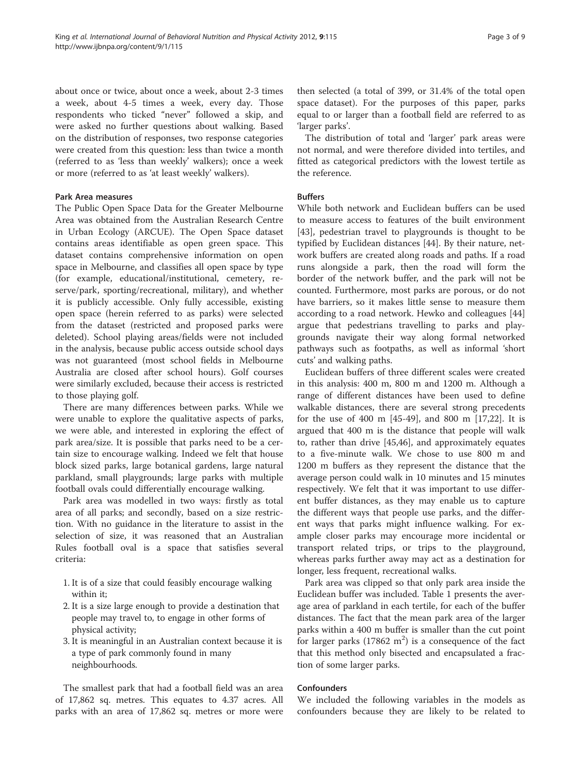about once or twice, about once a week, about 2-3 times a week, about 4-5 times a week, every day. Those respondents who ticked "never" followed a skip, and were asked no further questions about walking. Based on the distribution of responses, two response categories were created from this question: less than twice a month (referred to as 'less than weekly' walkers); once a week or more (referred to as 'at least weekly' walkers).

# Park Area measures

The Public Open Space Data for the Greater Melbourne Area was obtained from the Australian Research Centre in Urban Ecology (ARCUE). The Open Space dataset contains areas identifiable as open green space. This dataset contains comprehensive information on open space in Melbourne, and classifies all open space by type (for example, educational/institutional, cemetery, reserve/park, sporting/recreational, military), and whether it is publicly accessible. Only fully accessible, existing open space (herein referred to as parks) were selected from the dataset (restricted and proposed parks were deleted). School playing areas/fields were not included in the analysis, because public access outside school days was not guaranteed (most school fields in Melbourne Australia are closed after school hours). Golf courses were similarly excluded, because their access is restricted to those playing golf.

There are many differences between parks. While we were unable to explore the qualitative aspects of parks, we were able, and interested in exploring the effect of park area/size. It is possible that parks need to be a certain size to encourage walking. Indeed we felt that house block sized parks, large botanical gardens, large natural parkland, small playgrounds; large parks with multiple football ovals could differentially encourage walking.

Park area was modelled in two ways: firstly as total area of all parks; and secondly, based on a size restriction. With no guidance in the literature to assist in the selection of size, it was reasoned that an Australian Rules football oval is a space that satisfies several criteria:

- 1. It is of a size that could feasibly encourage walking within it;
- 2. It is a size large enough to provide a destination that people may travel to, to engage in other forms of physical activity;
- 3. It is meaningful in an Australian context because it is a type of park commonly found in many neighbourhoods.

The smallest park that had a football field was an area of 17,862 sq. metres. This equates to 4.37 acres. All parks with an area of 17,862 sq. metres or more were then selected (a total of 399, or 31.4% of the total open space dataset). For the purposes of this paper, parks equal to or larger than a football field are referred to as 'larger parks'.

The distribution of total and 'larger' park areas were not normal, and were therefore divided into tertiles, and fitted as categorical predictors with the lowest tertile as the reference.

# Buffers

While both network and Euclidean buffers can be used to measure access to features of the built environment [[43\]](#page-8-0), pedestrian travel to playgrounds is thought to be typified by Euclidean distances [[44\]](#page-8-0). By their nature, network buffers are created along roads and paths. If a road runs alongside a park, then the road will form the border of the network buffer, and the park will not be counted. Furthermore, most parks are porous, or do not have barriers, so it makes little sense to measure them according to a road network. Hewko and colleagues [[44](#page-8-0)] argue that pedestrians travelling to parks and playgrounds navigate their way along formal networked pathways such as footpaths, as well as informal 'short cuts' and walking paths.

Euclidean buffers of three different scales were created in this analysis: 400 m, 800 m and 1200 m. Although a range of different distances have been used to define walkable distances, there are several strong precedents for the use of 400 m [[45-49](#page-8-0)], and 800 m [[17,22\]](#page-8-0). It is argued that 400 m is the distance that people will walk to, rather than drive [[45,46](#page-8-0)], and approximately equates to a five-minute walk. We chose to use 800 m and 1200 m buffers as they represent the distance that the average person could walk in 10 minutes and 15 minutes respectively. We felt that it was important to use different buffer distances, as they may enable us to capture the different ways that people use parks, and the different ways that parks might influence walking. For example closer parks may encourage more incidental or transport related trips, or trips to the playground, whereas parks further away may act as a destination for longer, less frequent, recreational walks.

Park area was clipped so that only park area inside the Euclidean buffer was included. Table [1](#page-3-0) presents the average area of parkland in each tertile, for each of the buffer distances. The fact that the mean park area of the larger parks within a 400 m buffer is smaller than the cut point for larger parks  $(17862 \text{ m}^2)$  is a consequence of the fact that this method only bisected and encapsulated a fraction of some larger parks.

#### **Confounders**

We included the following variables in the models as confounders because they are likely to be related to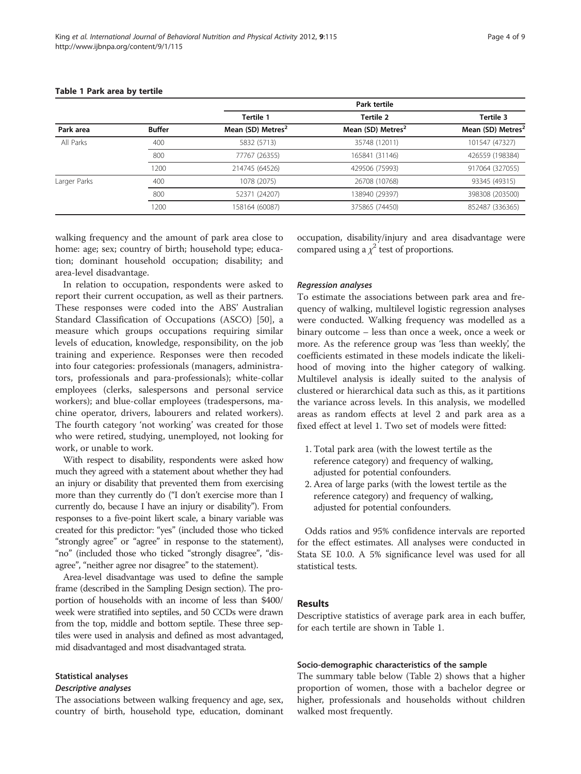|              |               |                               | Park tertile                  |                               |
|--------------|---------------|-------------------------------|-------------------------------|-------------------------------|
|              |               | Tertile 1                     | Tertile 2                     | Tertile 3                     |
| Park area    | <b>Buffer</b> | Mean (SD) Metres <sup>2</sup> | Mean (SD) Metres <sup>2</sup> | Mean (SD) Metres <sup>2</sup> |
| All Parks    | 400           | 5832 (5713)                   | 35748 (12011)                 | 101547 (47327)                |
|              | 800           | 77767 (26355)                 | 165841 (31146)                | 426559 (198384)               |
|              | 1200          | 214745 (64526)                | 429506 (75993)                | 917064 (327055)               |
| Larger Parks | 400           | 1078 (2075)                   | 26708 (10768)                 | 93345 (49315)                 |
|              | 800           | 52371 (24207)                 | 138940 (29397)                | 398308 (203500)               |
|              | 1200          | 158164 (60087)                | 375865 (74450)                | 852487 (336365)               |
|              |               |                               |                               |                               |

#### <span id="page-3-0"></span>Table 1 Park area by tertile

walking frequency and the amount of park area close to home: age; sex; country of birth; household type; education; dominant household occupation; disability; and area-level disadvantage.

In relation to occupation, respondents were asked to report their current occupation, as well as their partners. These responses were coded into the ABS' Australian Standard Classification of Occupations (ASCO) [\[50](#page-8-0)], a measure which groups occupations requiring similar levels of education, knowledge, responsibility, on the job training and experience. Responses were then recoded into four categories: professionals (managers, administrators, professionals and para-professionals); white-collar employees (clerks, salespersons and personal service workers); and blue-collar employees (tradespersons, machine operator, drivers, labourers and related workers). The fourth category 'not working' was created for those who were retired, studying, unemployed, not looking for work, or unable to work.

With respect to disability, respondents were asked how much they agreed with a statement about whether they had an injury or disability that prevented them from exercising more than they currently do ("I don't exercise more than I currently do, because I have an injury or disability"). From responses to a five-point likert scale, a binary variable was created for this predictor: "yes" (included those who ticked "strongly agree" or "agree" in response to the statement), "no" (included those who ticked "strongly disagree", "disagree", "neither agree nor disagree" to the statement).

Area-level disadvantage was used to define the sample frame (described in the Sampling Design section). The proportion of households with an income of less than \$400/ week were stratified into septiles, and 50 CCDs were drawn from the top, middle and bottom septile. These three septiles were used in analysis and defined as most advantaged, mid disadvantaged and most disadvantaged strata.

# Statistical analyses

The associations between walking frequency and age, sex, country of birth, household type, education, dominant occupation, disability/injury and area disadvantage were compared using a  $\chi^2$  test of proportions.

To estimate the associations between park area and frequency of walking, multilevel logistic regression analyses were conducted. Walking frequency was modelled as a binary outcome – less than once a week, once a week or more. As the reference group was 'less than weekly', the coefficients estimated in these models indicate the likelihood of moving into the higher category of walking. Multilevel analysis is ideally suited to the analysis of clustered or hierarchical data such as this, as it partitions the variance across levels. In this analysis, we modelled areas as random effects at level 2 and park area as a fixed effect at level 1. Two set of models were fitted:

- 1. Total park area (with the lowest tertile as the reference category) and frequency of walking, adjusted for potential confounders.
- 2. Area of large parks (with the lowest tertile as the reference category) and frequency of walking, adjusted for potential confounders.

Odds ratios and 95% confidence intervals are reported for the effect estimates. All analyses were conducted in Stata SE 10.0. A 5% significance level was used for all statistical tests.

# Results

Descriptive statistics of average park area in each buffer, for each tertile are shown in Table 1.

#### Socio-demographic characteristics of the sample

The summary table below (Table [2](#page-4-0)) shows that a higher proportion of women, those with a bachelor degree or higher, professionals and households without children walked most frequently.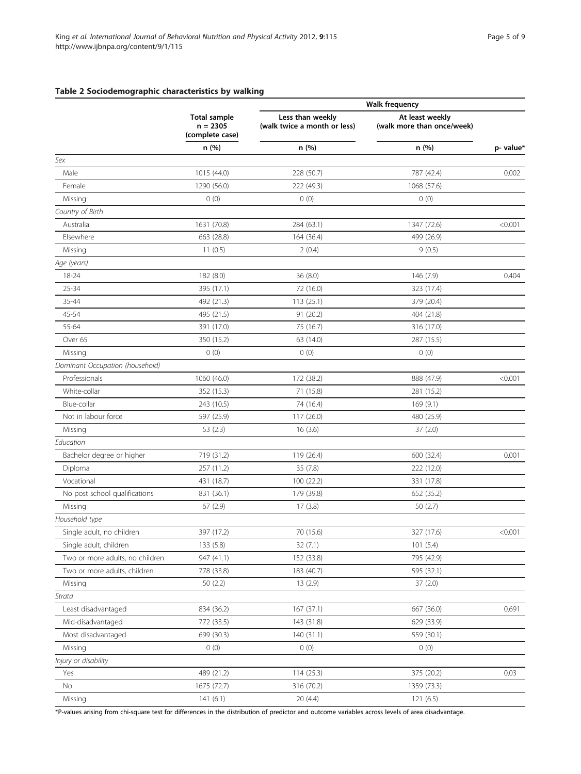# <span id="page-4-0"></span>Table 2 Sociodemographic characteristics by walking

|                                 | <b>Total sample</b><br>$n = 2305$<br>(complete case)<br>n (%) | <b>Walk frequency</b>                                     |                                                        |           |
|---------------------------------|---------------------------------------------------------------|-----------------------------------------------------------|--------------------------------------------------------|-----------|
|                                 |                                                               | Less than weekly<br>(walk twice a month or less)<br>n (%) | At least weekly<br>(walk more than once/week)<br>n (%) | p- value* |
|                                 |                                                               |                                                           |                                                        |           |
| Sex                             |                                                               |                                                           |                                                        |           |
| Male                            | 1015 (44.0)                                                   | 228 (50.7)                                                | 787 (42.4)                                             | 0.002     |
| Female                          | 1290 (56.0)                                                   | 222 (49.3)                                                | 1068 (57.6)                                            |           |
| Missing                         | 0(0)                                                          | 0(0)                                                      | 0(0)                                                   |           |
| Country of Birth                |                                                               |                                                           |                                                        |           |
| Australia                       | 1631 (70.8)                                                   | 284 (63.1)                                                | 1347 (72.6)                                            | < 0.001   |
| Elsewhere                       | 663 (28.8)                                                    | 164 (36.4)                                                | 499 (26.9)                                             |           |
| Missing                         | 11(0.5)                                                       | 2(0.4)                                                    | 9(0.5)                                                 |           |
| Age (years)                     |                                                               |                                                           |                                                        |           |
| 18-24                           | 182 (8.0)                                                     | 36(8.0)                                                   | 146 (7.9)                                              | 0.404     |
| 25-34                           | 395 (17.1)                                                    | 72 (16.0)                                                 | 323 (17.4)                                             |           |
| 35-44                           | 492 (21.3)                                                    | 113 (25.1)                                                | 379 (20.4)                                             |           |
| 45-54                           | 495 (21.5)                                                    | 91 (20.2)                                                 | 404 (21.8)                                             |           |
| 55-64                           | 391 (17.0)                                                    | 75 (16.7)                                                 | 316 (17.0)                                             |           |
| Over 65                         | 350 (15.2)                                                    | 63 (14.0)                                                 | 287 (15.5)                                             |           |
| Missing                         | 0(0)                                                          | 0(0)                                                      | 0(0)                                                   |           |
| Dominant Occupation (household) |                                                               |                                                           |                                                        |           |
| Professionals                   | 1060 (46.0)                                                   | 172 (38.2)                                                | 888 (47.9)                                             | < 0.001   |
| White-collar                    | 352 (15.3)                                                    | 71 (15.8)                                                 | 281 (15.2)                                             |           |
| Blue-collar                     | 243 (10.5)                                                    | 74 (16.4)                                                 | 169 (9.1)                                              |           |
| Not in labour force             | 597 (25.9)                                                    | 117 (26.0)                                                | 480 (25.9)                                             |           |
| Missing                         | 53(2.3)                                                       | 16(3.6)                                                   | 37(2.0)                                                |           |
| Education                       |                                                               |                                                           |                                                        |           |
| Bachelor degree or higher       | 719 (31.2)                                                    | 119 (26.4)                                                | 600 (32.4)                                             | 0.001     |
| Diploma                         | 257 (11.2)                                                    | 35 (7.8)                                                  | 222 (12.0)                                             |           |
| Vocational                      | 431 (18.7)                                                    | 100 (22.2)                                                | 331 (17.8)                                             |           |
| No post school qualifications   | 831 (36.1)                                                    | 179 (39.8)                                                | 652 (35.2)                                             |           |
| Missing                         | 67(2.9)                                                       | 17(3.8)                                                   | 50(2.7)                                                |           |
| Household type                  |                                                               |                                                           |                                                        |           |
| Single adult, no children       | 397 (17.2)                                                    | 70 (15.6)                                                 | 327 (17.6)                                             | < 0.001   |
| Single adult, children          | 133 (5.8)                                                     | 32 (7.1)                                                  | 101(5.4)                                               |           |
| Two or more adults, no children | 947 (41.1)                                                    | 152 (33.8)                                                | 795 (42.9)                                             |           |
| Two or more adults, children    | 778 (33.8)                                                    | 183 (40.7)                                                | 595 (32.1)                                             |           |
| Missing                         | 50(2.2)                                                       | 13(2.9)                                                   | 37(2.0)                                                |           |
| Strata                          |                                                               |                                                           |                                                        |           |
| Least disadvantaged             | 834 (36.2)                                                    | 167 (37.1)                                                | 667 (36.0)                                             | 0.691     |
| Mid-disadvantaged               | 772 (33.5)                                                    | 143 (31.8)                                                | 629 (33.9)                                             |           |
| Most disadvantaged              | 699 (30.3)                                                    | 140 (31.1)                                                | 559 (30.1)                                             |           |
| Missing                         | 0(0)                                                          | 0(0)                                                      | 0(0)                                                   |           |
| Injury or disability            |                                                               |                                                           |                                                        |           |
| Yes                             | 489 (21.2)                                                    | 114 (25.3)                                                | 375 (20.2)                                             | 0.03      |
| No                              | 1675 (72.7)                                                   | 316 (70.2)                                                | 1359 (73.3)                                            |           |
| Missing                         | 141(6.1)                                                      | 20 (4.4)                                                  | 121 (6.5)                                              |           |
|                                 |                                                               |                                                           |                                                        |           |

\*P-values arising from chi-square test for differences in the distribution of predictor and outcome variables across levels of area disadvantage.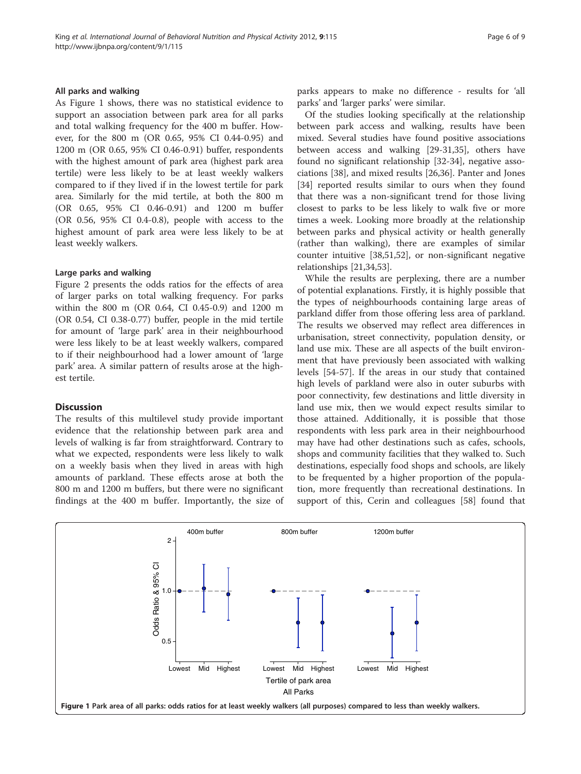#### All parks and walking

As Figure 1 shows, there was no statistical evidence to support an association between park area for all parks and total walking frequency for the 400 m buffer. However, for the 800 m (OR 0.65, 95% CI 0.44-0.95) and 1200 m (OR 0.65, 95% CI 0.46-0.91) buffer, respondents with the highest amount of park area (highest park area tertile) were less likely to be at least weekly walkers compared to if they lived if in the lowest tertile for park area. Similarly for the mid tertile, at both the 800 m (OR 0.65, 95% CI 0.46-0.91) and 1200 m buffer (OR 0.56, 95% CI 0.4-0.8), people with access to the highest amount of park area were less likely to be at least weekly walkers.

### Large parks and walking

Figure [2](#page-6-0) presents the odds ratios for the effects of area of larger parks on total walking frequency. For parks within the 800 m (OR 0.64, CI 0.45-0.9) and 1200 m (OR 0.54, CI 0.38-0.77) buffer, people in the mid tertile for amount of 'large park' area in their neighbourhood were less likely to be at least weekly walkers, compared to if their neighbourhood had a lower amount of 'large park' area. A similar pattern of results arose at the highest tertile.

## **Discussion**

The results of this multilevel study provide important evidence that the relationship between park area and levels of walking is far from straightforward. Contrary to what we expected, respondents were less likely to walk on a weekly basis when they lived in areas with high amounts of parkland. These effects arose at both the 800 m and 1200 m buffers, but there were no significant findings at the 400 m buffer. Importantly, the size of

parks appears to make no difference - results for 'all parks' and 'larger parks' were similar.

Of the studies looking specifically at the relationship between park access and walking, results have been mixed. Several studies have found positive associations between access and walking [[29](#page-8-0)-[31,35\]](#page-8-0), others have found no significant relationship [[32-34](#page-8-0)], negative associations [\[38](#page-8-0)], and mixed results [\[26,36\]](#page-8-0). Panter and Jones [[34\]](#page-8-0) reported results similar to ours when they found that there was a non-significant trend for those living closest to parks to be less likely to walk five or more times a week. Looking more broadly at the relationship between parks and physical activity or health generally (rather than walking), there are examples of similar counter intuitive [\[38,51,52\]](#page-8-0), or non-significant negative relationships [[21,34,53\]](#page-8-0).

While the results are perplexing, there are a number of potential explanations. Firstly, it is highly possible that the types of neighbourhoods containing large areas of parkland differ from those offering less area of parkland. The results we observed may reflect area differences in urbanisation, street connectivity, population density, or land use mix. These are all aspects of the built environment that have previously been associated with walking levels [[54-57\]](#page-8-0). If the areas in our study that contained high levels of parkland were also in outer suburbs with poor connectivity, few destinations and little diversity in land use mix, then we would expect results similar to those attained. Additionally, it is possible that those respondents with less park area in their neighbourhood may have had other destinations such as cafes, schools, shops and community facilities that they walked to. Such destinations, especially food shops and schools, are likely to be frequented by a higher proportion of the population, more frequently than recreational destinations. In support of this, Cerin and colleagues [\[58\]](#page-8-0) found that

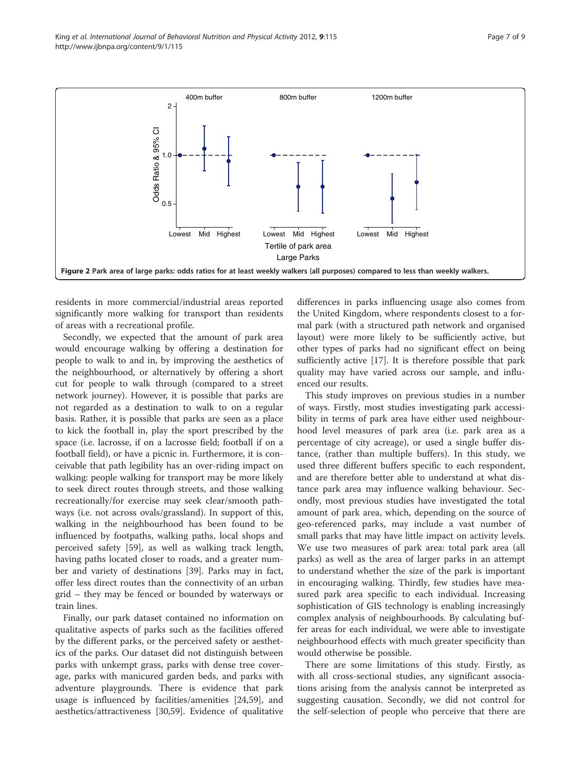<span id="page-6-0"></span>

residents in more commercial/industrial areas reported significantly more walking for transport than residents of areas with a recreational profile.

Secondly, we expected that the amount of park area would encourage walking by offering a destination for people to walk to and in, by improving the aesthetics of the neighbourhood, or alternatively by offering a short cut for people to walk through (compared to a street network journey). However, it is possible that parks are not regarded as a destination to walk to on a regular basis. Rather, it is possible that parks are seen as a place to kick the football in, play the sport prescribed by the space (i.e. lacrosse, if on a lacrosse field; football if on a football field), or have a picnic in. Furthermore, it is conceivable that path legibility has an over-riding impact on walking: people walking for transport may be more likely to seek direct routes through streets, and those walking recreationally/for exercise may seek clear/smooth pathways (i.e. not across ovals/grassland). In support of this, walking in the neighbourhood has been found to be influenced by footpaths, walking paths, local shops and perceived safety [[59\]](#page-8-0), as well as walking track length, having paths located closer to roads, and a greater number and variety of destinations [[39\]](#page-8-0). Parks may in fact, offer less direct routes than the connectivity of an urban grid – they may be fenced or bounded by waterways or train lines.

Finally, our park dataset contained no information on qualitative aspects of parks such as the facilities offered by the different parks, or the perceived safety or aesthetics of the parks. Our dataset did not distinguish between parks with unkempt grass, parks with dense tree coverage, parks with manicured garden beds, and parks with adventure playgrounds. There is evidence that park usage is influenced by facilities/amenities [\[24,59\]](#page-8-0), and aesthetics/attractiveness [[30,59\]](#page-8-0). Evidence of qualitative

differences in parks influencing usage also comes from the United Kingdom, where respondents closest to a formal park (with a structured path network and organised layout) were more likely to be sufficiently active, but other types of parks had no significant effect on being sufficiently active [\[17](#page-8-0)]. It is therefore possible that park quality may have varied across our sample, and influenced our results.

This study improves on previous studies in a number of ways. Firstly, most studies investigating park accessibility in terms of park area have either used neighbourhood level measures of park area (i.e. park area as a percentage of city acreage), or used a single buffer distance, (rather than multiple buffers). In this study, we used three different buffers specific to each respondent, and are therefore better able to understand at what distance park area may influence walking behaviour. Secondly, most previous studies have investigated the total amount of park area, which, depending on the source of geo-referenced parks, may include a vast number of small parks that may have little impact on activity levels. We use two measures of park area: total park area (all parks) as well as the area of larger parks in an attempt to understand whether the size of the park is important in encouraging walking. Thirdly, few studies have measured park area specific to each individual. Increasing sophistication of GIS technology is enabling increasingly complex analysis of neighbourhoods. By calculating buffer areas for each individual, we were able to investigate neighbourhood effects with much greater specificity than would otherwise be possible.

There are some limitations of this study. Firstly, as with all cross-sectional studies, any significant associations arising from the analysis cannot be interpreted as suggesting causation. Secondly, we did not control for the self-selection of people who perceive that there are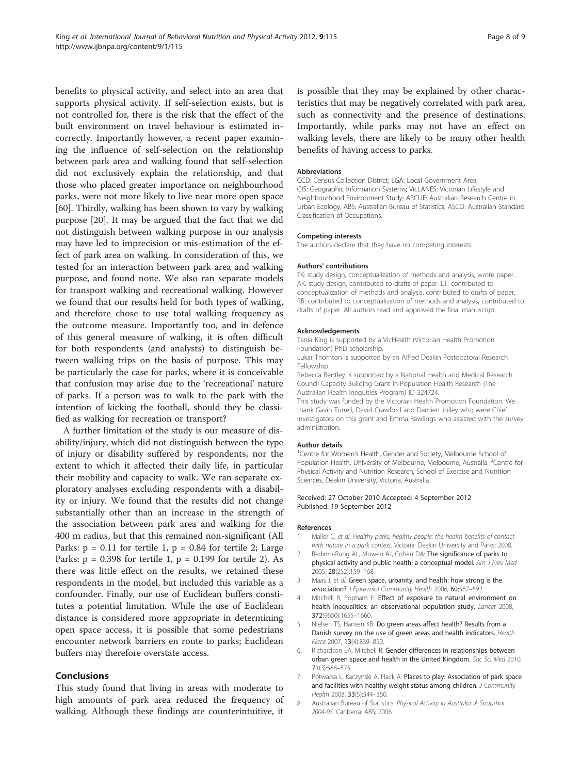<span id="page-7-0"></span>benefits to physical activity, and select into an area that supports physical activity. If self-selection exists, but is not controlled for, there is the risk that the effect of the built environment on travel behaviour is estimated incorrectly. Importantly however, a recent paper examining the influence of self-selection on the relationship between park area and walking found that self-selection did not exclusively explain the relationship, and that those who placed greater importance on neighbourhood parks, were not more likely to live near more open space [[60\]](#page-8-0). Thirdly, walking has been shown to vary by walking purpose [\[20\]](#page-8-0). It may be argued that the fact that we did not distinguish between walking purpose in our analysis may have led to imprecision or mis-estimation of the effect of park area on walking. In consideration of this, we tested for an interaction between park area and walking purpose, and found none. We also ran separate models for transport walking and recreational walking. However we found that our results held for both types of walking, and therefore chose to use total walking frequency as the outcome measure. Importantly too, and in defence of this general measure of walking, it is often difficult for both respondents (and analysts) to distinguish between walking trips on the basis of purpose. This may be particularly the case for parks, where it is conceivable that confusion may arise due to the 'recreational' nature of parks. If a person was to walk to the park with the intention of kicking the football, should they be classified as walking for recreation or transport?

A further limitation of the study is our measure of disability/injury, which did not distinguish between the type of injury or disability suffered by respondents, nor the extent to which it affected their daily life, in particular their mobility and capacity to walk. We ran separate exploratory analyses excluding respondents with a disability or injury. We found that the results did not change substantially other than an increase in the strength of the association between park area and walking for the 400 m radius, but that this remained non-significant (All Parks:  $p = 0.11$  for tertile 1,  $p = 0.84$  for tertile 2; Large Parks:  $p = 0.398$  for tertile 1,  $p = 0.199$  for tertile 2). As there was little effect on the results, we retained these respondents in the model, but included this variable as a confounder. Finally, our use of Euclidean buffers constitutes a potential limitation. While the use of Euclidean distance is considered more appropriate in determining open space access, it is possible that some pedestrians encounter network barriers en route to parks; Euclidean buffers may therefore overstate access.

## Conclusions

This study found that living in areas with moderate to high amounts of park area reduced the frequency of walking. Although these findings are counterintuitive, it

is possible that they may be explained by other characteristics that may be negatively correlated with park area, such as connectivity and the presence of destinations. Importantly, while parks may not have an effect on walking levels, there are likely to be many other health benefits of having access to parks.

#### Abbreviations

CCD: Census Collection District; LGA: Local Government Area; GIS: Geographic Information Systems; VicLANES: Victorian Lifestyle and Neighbourhood Environment Study; ARCUE: Australian Research Centre in Urban Ecology; ABS: Australian Bureau of Statistics; ASCO: Australian Standard Classification of Occupations.

#### Competing interests

The authors declare that they have no competing interests.

#### Authors' contributions

TK: study design, conceptualization of methods and analysis, wrote paper. AK: study design, contributed to drafts of paper. LT: contributed to conceptualization of methods and analysis. contributed to drafts of paper. RB: contributed to conceptualization of methods and analysis, contributed to drafts of paper. All authors read and approved the final manuscript.

#### Acknowledgements

Tania King is supported by a VicHealth (Victorian Health Promotion Foundation) PhD scholarship.

Lukar Thornton is supported by an Alfred Deakin Postdoctoral Research Fellowship.

Rebecca Bentley is supported by a National Health and Medical Research Council Capacity Building Grant in Population Health Research (The Australian Health Inequities Program) ID 324724.

This study was funded by the Victorian Health Promotion Foundation. We thank Gavin Turrell, David Crawford and Damien Jolley who were Chief Investigators on this grant and Emma Rawlings who assisted with the survey administration.

#### Author details

<sup>1</sup> Centre for Women's Health, Gender and Society, Melbourne School of Population Health, University of Melbourne, Melbourne, Australia. <sup>2</sup>Centre for Physical Activity and Nutrition Research, School of Exercise and Nutrition Sciences, Deakin University, Victoria, Australia.

#### Received: 27 October 2010 Accepted: 4 September 2012 Published: 19 September 2012

#### References

- 1. Maller C, et al: Healthy parks, healthy people: the health benefits of contact with nature in a park context. Victoria: Deakin University and Parks; 2008.
- 2. Bedimo-Rung AL, Mowen AJ, Cohen DA: The significance of parks to physical activity and public health: a conceptual model. Am J Prev Med 2005, 28(2S2):159–168.
- 3. Maas J, et al: Green space, urbanity, and health: how strong is the association? J Epidemiol Community Health 2006, 60:587–592.
- 4. Mitchell R, Popham F: Effect of exposure to natural environment on health inequalities: an observational population study. Lancet 2008, 372(9650):1655–1660.
- 5. Nielsen TS, Hansen KB: Do green areas affect health? Results from a Danish survey on the use of green areas and health indicators. Health Place 2007, 13(4):839–850.
- 6. Richardson EA, Mitchell R: Gender differences in relationships between urban green space and health in the United Kingdom. Soc Sci Med 2010, 71(3):568–575.
- 7. Potwarka L, Kaczynski A, Flack A: Places to play: Association of park space and facilities with healthy weight status among children. J Community Health 2008, 33(5):344–350.
- 8. Australian Bureau of Statistics: Physical Activity in Australia: A Snapshot 2004-05. Canberra: ABS; 2006.